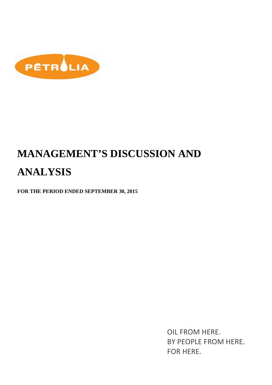

# **MANAGEMENT'S DISCUSSION AND ANALYSIS**

**FOR THE PERIOD ENDED SEPTEMBER 30, 2015** 

OIL FROM HERE. BY PEOPLE FROM HERE. FOR HERE.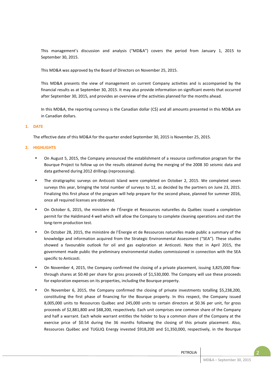This management's discussion and analysis ("MD&A") covers the period from January 1, 2015 to September 30, 2015.

This MD&A was approved by the Board of Directors on November 25, 2015.

This MD&A presents the view of management on current Company activities and is accompanied by the financial results as at September 30, 2015. It may also provide information on significant events that occurred after September 30, 2015, and provides an overview of the activities planned for the months ahead.

In this MD&A, the reporting currency is the Canadian dollar (C\$) and all amounts presented in this MD&A are in Canadian dollars.

## **1. DATE**

The effective date of this MD&A for the quarter ended September 30, 2015 is November 25, 2015.

## **2. HIGHLIGHTS**

- On August 5, 2015, the Company announced the establishment of a resource confirmation program for the Bourque Project to follow up on the results obtained during the merging of the 2008 3D seismic data and data gathered during 2012 drillings (reprocessing).
- The stratigraphic surveys on Anticosti Island were completed on October 2, 2015. We completed seven surveys this year, bringing the total number of surveys to 12, as decided by the partners on June 23, 2015. Finalizing this first phase of the program will help prepare for the second phase, planned for summer 2016, once all required licenses are obtained.
- On October 6, 2015, the ministère de l'Énergie et Ressources naturelles du Québec issued a completion permit for the Haldimand 4 well which will allow the Company to complete cleaning operations and start the long-term production test.
- On October 28, 2015, the ministère de l'Énergie et de Ressources naturelles made public a summary of the knowledge and information acquired from the Strategic Environmental Assessment ("SEA"). These studies showed a favourable outlook for oil and gas exploration at Anticosti. Note that in April 2015, the government made public the preliminary environmental studies commissioned in connection with the SEA specific to Anticosti.
- On November 4, 2015, the Company confirmed the closing of a private placement, issuing 3,825,000 flowthrough shares at \$0.40 per share for gross proceeds of \$1,530,000. The Company will use these proceeds for exploration expenses on its properties, including the Bourque property.
- On November 6, 2015, the Company confirmed the closing of private investments totalling \$5,238,200, constituting the first phase of financing for the Bourque property. In this respect, the Company issued 8,005,000 units to Ressources Québec and 245,000 units to certain directors at \$0.36 per unit, for gross proceeds of \$2,881,800 and \$88,200, respectively. Each unit comprises one common share of the Company and half a warrant. Each whole warrant entitles the holder to buy a common share of the Company at the exercise price of \$0.54 during the 36 months following the closing of this private placement. Also, Ressources Québec and TUGLIQ Energy invested \$918,200 and \$1,350,000, respectively, in the Bourque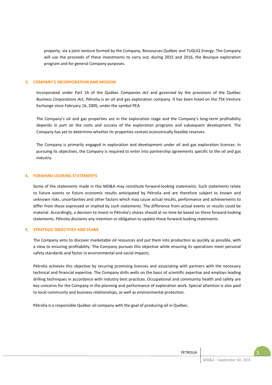property, via a joint venture formed by the Company, Ressources Québec and TUGLIQ Energy. The Company will use the proceeds of these investments to carry out, during 2015 and 2016, the Bourque exploration program and for general Company purposes.

## **3. COMPANY'S INCORPORATION AND MISSION**

Incorporated under Part 1A of the Québec *Companies Act* and governed by the provisions of the Québec *Business Corporations Act*, Pétrolia is an oil and gas exploration company. It has been listed on the TSX Venture Exchange since February 16, 2005, under the symbol PEA.

The Company's oil and gas properties are in the exploration stage and the Company's long-term profitability depends in part on the costs and success of the exploration programs and subsequent development. The Company has yet to determine whether its properties contain economically feasible reserves.

The Company is primarily engaged in exploration and development under oil and gas exploration licences. In pursuing its objectives, the Company is required to enter into partnership agreements specific to the oil and gas industry.

#### **4. FORWARD-LOOKING STATEMENTS**

Some of the statements made in this MD&A may constitute forward-looking statements. Such statements relate to future events or future economic results anticipated by Pétrolia and are therefore subject to known and unknown risks, uncertainties and other factors which may cause actual results, performance and achievements to differ from those expressed or implied by such statements. The difference from actual events or results could be material. Accordingly, a decision to invest in Pétrolia's shares should at no time be based on these forward-looking statements. Pétrolia disclaims any intention or obligation to update these forward-looking statements.

#### **5. STRATEGIC OBJECTIVES AND PLANS**

The Company aims to discover marketable oil resources and put them into production as quickly as possible, with a view to ensuring profitability. The Company pursues this objective while ensuring its operations meet personal safety standards and factor in environmental and social impacts.

Pétrolia achieves this objective by securing promising licences and associating with partners with the necessary technical and financial expertise. The Company drills wells on the basis of scientific expertise and employs leading drilling techniques in accordance with industry best practices. Occupational and community health and safety are key concerns for the Company in the planning and performance of exploration work. Special attention is also paid to local community and business relationships, as well as environmental protection.

Pétrolia is a responsible Québec oil company with the goal of producing oil in Québec.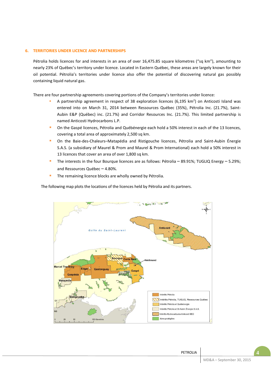## **6. TERRITORIES UNDER LICENCE AND PARTNERSHIPS**

Pétrolia holds licences for and interests in an area of over 16,475.85 square kilometres ("sq km"), amounting to nearly 23% of Québec's territory under licence. Located in Eastern Québec, these areas are largely known for their oil potential. Pétrolia's territories under licence also offer the potential of discovering natural gas possibly containing liquid natural gas.

There are four partnership agreements covering portions of the Company's territories under licence:

- A partnership agreement in respect of 38 exploration licences  $(6,195 \text{ km}^2)$  on Anticosti Island was entered into on March 31, 2014 between Ressources Québec (35%), Pétrolia Inc. (21.7%), Saint-Aubin E&P (Québec) inc. (21.7%) and Corridor Resources Inc. (21.7%). This limited partnership is named Anticosti Hydrocarbons L.P.
- On the Gaspé licences, Pétrolia and Québénergie each hold a 50% interest in each of the 13 licences, covering a total area of approximately 2,500 sq km.
- On the Baie-des-Chaleurs–Matapédia and Ristigouche licences, Pétrolia and Saint-Aubin Énergie S.A.S. (a subsidiary of Maurel & Prom and Maurel & Prom International) each hold a 50% interest in 13 licences that cover an area of over 1,800 sq km.
- The interests in the four Bourque licences are as follows: Pétrolia 89.91%; TUGLIQ Energy 5.29%; and Ressources Québec – 4.80%.
- The remaining licence blocks are wholly owned by Pétrolia.

The following map plots the locations of the licences held by Pétrolia and its partners.

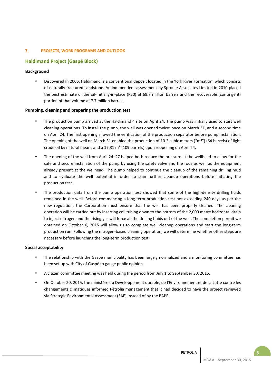# **7. PROJECTS, WORK PROGRAMS AND OUTLOOK**

# **Haldimand Project (Gaspé Block)**

# **Background**

• Discovered in 2006, Haldimand is a conventional deposit located in the York River Formation, which consists of naturally fractured sandstone. An independent assessment by Sproule Associates Limited in 2010 placed the best estimate of the oil-initially-in-place (P50) at 69.7 million barrels and the recoverable (contingent) portion of that volume at 7.7 million barrels.

# **Pumping, cleaning and preparing the production test**

- The production pump arrived at the Haldimand 4 site on April 24. The pump was initially used to start well cleaning operations. To install the pump, the well was opened twice: once on March 31, and a second time on April 24. The first opening allowed the verification of the production separator before pump installation. The opening of the well on March 31 enabled the production of 10.2 cubic meters (" $m<sup>3</sup>$ ") (64 barrels) of light crude oil by natural means and a  $17.31 \text{ m}^3$  (109 barrels) upon reopening on April 24.
- The opening of the well from April 24–27 helped both reduce the pressure at the wellhead to allow for the safe and secure installation of the pump by using the safety valve and the rods as well as the equipment already present at the wellhead. The pump helped to continue the cleanup of the remaining drilling mud and to evaluate the well potential in order to plan further cleanup operations before initiating the production test.
- The production data from the pump operation test showed that some of the high-density drilling fluids remained in the well. Before commencing a long-term production test not exceeding 240 days as per the new regulation, the Corporation must ensure that the well has been properly cleaned. The cleaning operation will be carried out by inserting coil tubing down to the bottom of the 2,000 metre horizontal drain to inject nitrogen and the rising gas will force all the drilling fluids out of the well. The completion permit we obtained on October 6, 2015 will allow us to complete well cleanup operations and start the long-term production run. Following the nitrogen-based cleaning operation, we will determine whether other steps are necessary before launching the long-term production test.

## **Social acceptability**

- The relationship with the Gaspé municipality has been largely normalized and a monitoring committee has been set up with City of Gaspé to gauge public opinion.
- A citizen committee meeting was held during the period from July 1 to September 30, 2015.
- On October 20, 2015, the ministère du Développement durable, de l'Environnement et de la Lutte contre les changements climatiques informed Pétrolia management that it had decided to have the project reviewed via Strategic Environmental Assessment (SAE) instead of by the BAPE.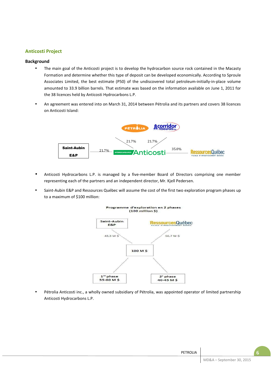# **Anticosti Project**

# **Background**

- The main goal of the Anticosti project is to develop the hydrocarbon source rock contained in the Macasty Formation and determine whether this type of deposit can be developed economically. According to Sproule Associates Limited, the best estimate (P50) of the undiscovered total petroleum-initially-in-place volume amounted to 33.9 billion barrels. That estimate was based on the information available on June 1, 2011 for the 38 licences held by Anticosti Hydrocarbons L.P.
- An agreement was entered into on March 31, 2014 between Pétrolia and its partners and covers 38 licences on Anticosti Island:



- Anticosti Hydrocarbons L.P. is managed by a five-member Board of Directors comprising one member representing each of the partners and an independent director, Mr. Kjell Pedersen.
- Saint-Aubin E&P and Ressources Québec will assume the cost of the first two exploration program phases up to a maximum of \$100 million:



• Pétrolia Anticosti inc., a wholly owned subsidiary of Pétrolia, was appointed operator of limited partnership Anticosti Hydrocarbons L.P.

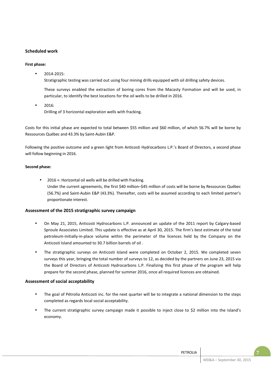# **Scheduled work**

# **First phase:**

• 2014-2015:

Stratigraphic testing was carried out using four mining drills equipped with oil drilling safety devices.

These surveys enabled the extraction of boring cores from the Macasty Formation and will be used, in particular, to identify the best locations for the oil wells to be drilled in 2016.

• 2016: Drilling of 3 horizontal exploration wells with fracking.

Costs for this initial phase are expected to total between \$55 million and \$60 million, of which 56.7% will be borne by Ressources Québec and 43.3% by Saint-Aubin E&P.

Following the positive outcome and a green light from Anticosti Hydrocarbons L.P.'s Board of Directors, a second phase will follow beginning in 2016.

# **Second phase:**

2016 +: Horizontal oil wells will be drilled with fracking. Under the current agreements, the first \$40 million–\$45 million of costs will be borne by Ressources Québec (56.7%) and Saint-Aubin E&P (43.3%). Thereafter, costs will be assumed according to each limited partner's proportionate interest.

# **Assessment of the 2015 stratigraphic survey campaign**

- On May 21, 2015, Anticosti Hydrocarbons L.P. announced an update of the 2011 report by Calgary-based Sproule Associates Limited. This update is effective as at April 30, 2015. The firm's best estimate of the total petroleum-initially-in-place volume within the perimeter of the licences held by the Company on the Anticosti Island amounted to 30.7 billion barrels of oil .
- The stratigraphic surveys on Anticosti Island were completed on October 2, 2015. We completed seven surveys this year, bringing the total number of surveys to 12, as decided by the partners on June 23, 2015 via the Board of Directors of Anticosti Hydrocarbons L.P. Finalizing this first phase of the program will help prepare for the second phase, planned for summer 2016, once all required licences are obtained.

# **Assessment of social acceptability**

- The goal of Pétrolia Anticosti inc. for the next quarter will be to integrate a national dimension to the steps completed as regards local social acceptability.
- The current stratigraphic survey campaign made it possible to inject close to \$2 million into the Island's economy.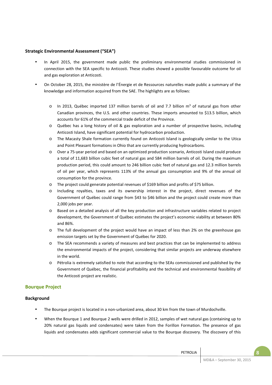# **Strategic Environmental Assessment ("SEA")**

- In April 2015, the government made public the preliminary environmental studies commissioned in connection with the SEA specific to Anticosti. These studies showed a possible favourable outcome for oil and gas exploration at Anticosti.
- On October 28, 2015, the ministère de l'Énergie et de Ressources naturelles made public a summary of the knowledge and information acquired from the SAE. The highlights are as follows:
	- $\circ$  In 2013, Québec imported 137 million barrels of oil and 7.7 billion m<sup>3</sup> of natural gas from other Canadian provinces, the U.S. and other countries. These imports amounted to \$13.5 billion, which accounts for 61% of the commercial trade deficit of the Province.
	- o Québec has a long history of oil & gas exploration and a number of prospective basins, including Anticosti Island, have significant potential for hydrocarbon production.
	- o The Macasty Shale formation currently found on Anticosti Island is geologically similar to the Utica and Point Pleasant formations in Ohio that are currently producing hydrocarbons.
	- o Over a 75-year period and based on an optimized production scenario, Anticosti Island could produce a total of 11,683 billion cubic feet of natural gas and 584 million barrels of oil. During the maximum production period, this could amount to 246 billion cubic feet of natural gas and 12.3 million barrels of oil per year, which represents 113% of the annual gas consumption and 9% of the annual oil consumption for the province.
	- o The project could generate potential revenues of \$169 billion and profits of \$75 billion.
	- o Including royalties, taxes and its ownership interest in the project, direct revenues of the Government of Québec could range from \$43 to \$46 billion and the project could create more than 2,000 jobs per year.
	- o Based on a detailed analysis of all the key production and infrastructure variables related to project development, the Government of Québec estimates the project's economic viability at between 80% and 86%.
	- o The full development of the project would have an impact of less than 2% on the greenhouse gas emission targets set by the Government of Québec for 2020.
	- o The SEA recommends a variety of measures and best practices that can be implemented to address the environmental impacts of the project, considering that similar projects are underway elsewhere in the world.
	- Pétrolia is extremely satisfied to note that according to the SEAs commissioned and published by the Government of Québec, the financial profitability and the technical and environmental feasibility of the Anticosti project are realistic.

# **Bourque Project**

# **Background**

- The Bourque project is located in a non-urbanized area, about 30 km from the town of Murdochville.
- When the Bourque 1 and Bourque 2 wells were drilled in 2012, samples of wet natural gas (containing up to 20% natural gas liquids and condensates) were taken from the Forillon Formation. The presence of gas liquids and condensates adds significant commercial value to the Bourque discovery. The discovery of this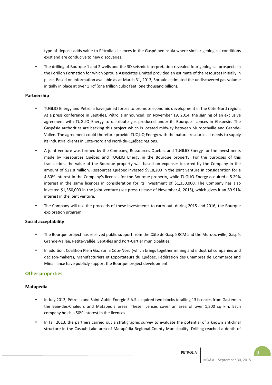type of deposit adds value to Pétrolia's licences in the Gaspé peninsula where similar geological conditions exist and are conducive to new discoveries.

• The drilling of Bourque 1 and 2 wells and the 3D seismic interpretation revealed four geological prospects in the Forillon Formation for which Sproule Associates Limited provided an estimate of the resources initially in place. Based on information available as at March 31, 2013, Sproule estimated the undiscovered gas volume initially in place at over 1 Tcf (one trillion cubic feet; one thousand billion).

# **Partnership**

- TUGLIQ Energy and Pétrolia have joined forces to promote economic development in the Côte-Nord region. At a press conference in Sept-Îles, Pétrolia announced, on November 19, 2014, the signing of an exclusive agreement with TUGLIQ Energy to distribute gas produced under its Bourque licences in Gaspésie. The Gaspésie authorities are backing this project which is located midway between Murdochville and Grande-Vallée. The agreement could therefore provide TUQLIQ Energy with the natural resources it needs to supply its industrial clients in Côte-Nord and Nord-du-Québec regions.
- A joint venture was formed by the Company, Ressources Québec and TUGLIQ Energy for the investments made by Ressources Québec and TUGLIQ Energy in the Bourque property. For the purposes of this transaction, the value of the Bourque property was based on expenses incurred by the Company in the amount of \$21.8 million. Ressources Québec invested \$918,200 in the joint venture in consideration for a 4.80% interest in the Company's licences for the Bourque property, while TUGLIQ Energy acquired a 5.29% interest in the same licences in consideration for its investment of \$1,350,000. The Company has also invested \$1,350,000 in the joint venture (see press release of November 4, 2015), which gives it an 89.91% interest in the joint venture.
- The Company will use the proceeds of these investments to carry out, during 2015 and 2016, the Bourque exploration program.

# **Social acceptability**

- The Bourque project has received public support from the Côte de Gaspé RCM and the Murdochville, Gaspé, Grande-Vallée, Petite-Vallée, Sept-Îles and Port-Cartier municipalities.
- In addition, Coalition Plein Gaz sur la Côte-Nord (which brings together mining and industrial companies and decison-makers), Manufacturiers et Exportateurs du Québec, Fédération des Chambres de Commerce and Minalliance have publicly support the Bourque project development.

# **Other properties**

## **Matapédia**

- In July 2013, Pétrolia and Saint-Aubin Énergie S.A.S. acquired two blocks totalling 13 licences from Gastem in the Baie-des-Chaleurs and Matapédia areas. These licences cover an area of over 1,800 sq km. Each company holds a 50% interest in the licences.
- In fall 2013, the partners carried out a stratigraphic survey to evaluate the potential of a known anticlinal structure in the Casault Lake area of Matapédia Regional County Municipality. Drilling reached a depth of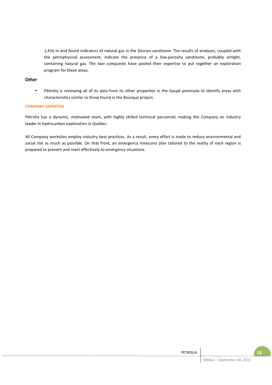1,416 m and found indicators of natural gas in the Silurian sandstone. The results of analyses, coupled with the petrophysical assessment, indicate the presence of a low-porosity sandstone, probably airtight, containing natural gas. The two companies have pooled their expertise to put together an exploration program for these areas.

# **Other**

• Pétrolia is reviewing all of its data from its other properties in the Gaspé peninsula to identify areas with characteristics similar to those found in the Bourque project.

## **COMPANY EXPERTISE**

Pétrolia has a dynamic, motivated team, with highly skilled technical personnel, making the Company an industry leader in hydrocarbon exploration in Québec.

All Company worksites employ industry best practices. As a result, every effort is made to reduce environmental and social risk as much as possible. On that front, an emergency measures plan tailored to the reality of each region is prepared to prevent and react effectively to emergency situations.

| PETROLIA |                           | U |
|----------|---------------------------|---|
|          | MD&A - September 30, 2015 |   |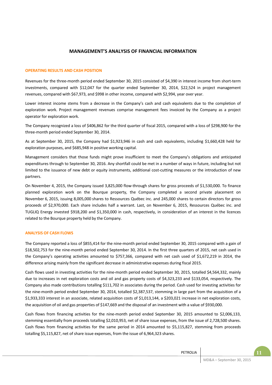# **MANAGEMENT'S ANALYSIS OF FINANCIAL INFORMATION**

## **OPERATING RESULTS AND CASH POSITION**

Revenues for the three-month period ended September 30, 2015 consisted of \$4,390 in interest income from short-term investments, compared with \$12,047 for the quarter ended September 30, 2014, \$22,524 in project management revenues, compared with \$67,973, and \$998 in other income, compared with \$2,994, year over year.

Lower interest income stems from a decrease in the Company's cash and cash equivalents due to the completion of exploration work. Project management revenues comprise management fees invoiced by the Company as a project operator for exploration work.

The Company recognized a loss of \$406,862 for the third quarter of fiscal 2015, compared with a loss of \$298,900 for the three-month period ended September 30, 2014.

As at September 30, 2015, the Company had \$1,923,946 in cash and cash equivalents, including \$1,660,428 held for exploration purposes, and \$685,948 in positive working capital.

Management considers that those funds might prove insufficient to meet the Company's obligations and anticipated expenditures through to September 30, 2016. Any shortfall could be met in a number of ways in future, including but not limited to the issuance of new debt or equity instruments, additional cost-cutting measures or the introduction of new partners.

On November 4, 2015, the Company issued 3,825,000 flow-through shares for gross proceeds of \$1,530,000. To finance planned exploration work on the Bourque property, the Company completed a second private placement on November 6, 2015, issuing 8,005,000 shares to Ressources Québec inc. and 245,000 shares to certain directors for gross proceeds of \$2,970,000. Each share includes half a warrant. Last, on November 6, 2015, Ressources Québec inc. and TUGLIQ Energy invested \$918,200 and \$1,350,000 in cash, respectively, in consideration of an interest in the licences related to the Bourque property held by the Company.

#### **ANALYSIS OF CASH FLOWS**

The Company reported a loss of \$855,414 for the nine-month period ended September 30, 2015 compared with a gain of \$18,502,753 for the nine-month period ended September 30, 2014. In the first three quarters of 2015, net cash used in the Company's operating activities amounted to \$757,366, compared with net cash used of \$1,672,219 in 2014, the difference arising mainly from the significant decrease in administrative expenses during fiscal 2015.

Cash flows used in investing activities for the nine-month period ended September 30, 2015, totalled \$4,564,332, mainly due to increases in net exploration costs and oil and gas property costs of \$4,323,233 and \$133,054, respectively. The Company also made contributions totalling \$111,702 in associates during the period. Cash used for investing activities for the nine-month period ended September 30, 2014, totalled \$2,387,537, stemming in large part from the acquisition of a \$1,933,333 interest in an associate, related acquisition costs of \$1,013,144, a \$203,021 increase in net exploration costs, the acquisition of oil and gas properties of \$147,669 and the disposal of an investment with a value of \$930,000.

Cash flows from financing activities for the nine-month period ended September 30, 2015 amounted to \$2,006,133, stemming essentially from proceeds totalling \$2,010,953, net of share issue expenses, from the issue of 2,728,500 shares. Cash flows from financing activities for the same period in 2014 amounted to \$5,115,827, stemming from proceeds totalling \$5,115,827, net of share issue expenses, from the issue of 6,964,323 shares.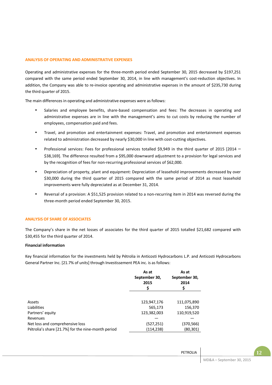### **ANALYSIS OF OPERATING AND ADMINISTRATIVE EXPENSES**

Operating and administrative expenses for the three-month period ended September 30, 2015 decreased by \$197,251 compared with the same period ended September 30, 2014, in line with management's cost-reduction objectives. In addition, the Company was able to re-invoice operating and administrative expenses in the amount of \$235,730 during the third quarter of 2015.

The main differences in operating and administrative expenses were as follows:

- Salaries and employee benefits, share-based compensation and fees: The decreases in operating and administrative expenses are in line with the management's aims to cut costs by reducing the number of employees, compensation paid and fees.
- Travel, and promotion and entertainment expenses: Travel, and promotion and entertainment expenses related to administration decreased by nearly \$30,000 in line with cost-cutting objectives.
- Professional services: Fees for professional services totalled \$9,949 in the third quarter of 2015 [2014 \$38,169]. The difference resulted from a \$95,000 downward adjustment to a provision for legal services and by the recognition of fees for non-recurring professional services of \$62,000.
- Depreciation of property, plant and equipment: Depreciation of leasehold improvements decreased by over \$30,000 during the third quarter of 2015 compared with the same period of 2014 as most leasehold improvements were fully depreciated as at December 31, 2014.
- Reversal of a provision: A \$51,525 provision related to a non-recurring item in 2014 was reversed during the three-month period ended September 30, 2015.

#### **ANALYSIS OF SHARE OF ASSOCIATES**

The Company's share in the net losses of associates for the third quarter of 2015 totalled \$21,682 compared with \$30,455 for the third quarter of 2014.

#### **Financial information**

Key financial information for the investments held by Pétrolia in Anticosti Hydrocarbons L.P. and Anticosti Hydrocarbons General Partner Inc. [21.7% of units] through Investissement PEA inc. is as follows:

|                                                    | As at<br>September 30,<br>2015<br>Ş | As at<br>September 30,<br>2014 |
|----------------------------------------------------|-------------------------------------|--------------------------------|
|                                                    |                                     |                                |
| Assets                                             | 123,947,176                         | 111,075,890                    |
| Liabilities                                        | 565,173                             | 156,370                        |
| Partners' equity                                   | 123,382,003                         | 110,919,520                    |
| Revenues                                           |                                     |                                |
| Net loss and comprehensive loss                    | (527,251)                           | (370,566)                      |
| Pétrolia's share [21.7%] for the nine-month period | (114,238)                           | (80, 301)                      |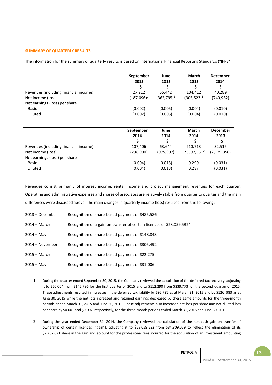### **SUMMARY OF QUARTERLY RESULTS**

The information for the summary of quarterly results is based on International Financial Reporting Standards ("IFRS").

|                                       | September<br>2015<br>\$ | June<br>2015<br>S | <b>March</b><br>2015<br>\$ | <b>December</b><br>2014<br>\$ |
|---------------------------------------|-------------------------|-------------------|----------------------------|-------------------------------|
| Revenues (including financial income) | 27,912                  | 55,442            | 104,412                    | 40,289                        |
| Net income (loss)                     | $(187,096)^1$           | $(362,795)^1$     | $(305, 523)^1$             | (740, 982)                    |
| Net earnings (loss) per share         |                         |                   |                            |                               |
| Basic                                 | (0.002)                 | (0.005)           | (0.004)                    | (0.010)                       |
| <b>Diluted</b>                        | (0.002)                 | (0.005)           | (0.004)                    | (0.010)                       |
|                                       |                         |                   |                            |                               |
|                                       | September               | June              | <b>March</b>               | <b>December</b>               |
|                                       | 2014                    | 2014              | 2014                       | 2013                          |
|                                       | \$                      |                   | Ś                          | \$                            |
| Revenues (including financial income) | 107,406                 | 63,644            | 210,713                    | 32,516                        |
| Net income (loss)                     | (298,900)               | (975, 907)        | 19,597,561 <sup>2</sup>    | (2, 139, 356)                 |
| Net earnings (loss) per share         |                         |                   |                            |                               |
| Basic                                 | (0.004)                 | (0.013)           | 0.290                      | (0.031)                       |
| <b>Diluted</b>                        | (0.004)                 | (0.013)           | 0.287                      | (0.031)                       |

Revenues consist primarily of interest income, rental income and project management revenues for each quarter. Operating and administrative expenses and shares of associates are relatively stable from quarter to quarter and the main differences were discussed above. The main changes in quarterly income (loss) resulted from the following:

| 2013 – December | Recognition of share-based payment of \$485,586                                    |
|-----------------|------------------------------------------------------------------------------------|
| $2014 - March$  | Recognition of a gain on transfer of certain licences of \$28,059,532 <sup>2</sup> |
| $2014 - May$    | Recognition of share-based payment of \$148,843                                    |
| 2014 – November | Recognition of share-based payment of \$305,492                                    |
| $2015 - March$  | Recognition of share-based payment of \$22,275                                     |
| $2015 - May$    | Recognition of share-based payment of \$31,006                                     |

- 1 During the quarter ended September 30, 2015, the Company reviewed the calculation of the deferred tax recovery, adjusting it to \$50,004 from \$142,786 for the first quarter of 2015 and to \$112,290 from \$239,773 for the second quarter of 2015. These adjustments resulted in increases in the deferred tax liability by \$92,782 as at March 31, 2015 and by \$126, 983 as at June 30, 2015 while the net loss increased and retained earnings decreased by these same amounts for the three-month periods ended March 31, 2015 and June 30, 2015. Those adjustments also increased net loss per share and net diluted loss per share by \$0.001 and \$0.002, respectively, for the three-month periods ended March 31, 2015 and June 30, 2015.
- 2 During the year ended December 31, 2014, the Company reviewed the calculation of the non-cash gain on transfer of ownership of certain licences ["gain"], adjusting it to \$28,059,532 from \$34,809,059 to reflect the elimination of its \$7,762,671 share in the gain and account for the professional fees incurred for the acquisition of an investment amounting

|                             | PETROLIA |
|-----------------------------|----------|
| $MOPA$ $C$ , $L$ , $QQ$ $Q$ |          |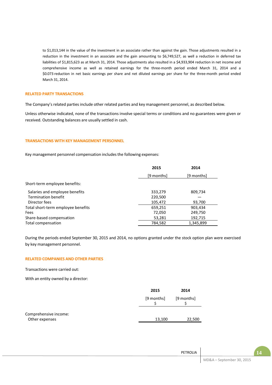to \$1,013,144 in the value of the investment in an associate rather than against the gain. Those adjustments resulted in a reduction in the investment in an associate and the gain amounting to \$6,749,527, as well a reduction in deferred tax liabilities of \$1,815,623 as at March 31, 2014. Those adjustments also resulted in a \$4,933,904 reduction in net income and comprehensive income as well as retained earnings for the three-month period ended March 31, 2014 and a \$0.073 reduction in net basic earnings per share and net diluted earnings per share for the three-month period ended March 31, 2014.

#### **RELATED PARTY TRANSACTIONS**

The Company's related parties include other related parties and key management personnel, as described below.

Unless otherwise indicated, none of the transactions involve special terms or conditions and no guarantees were given or received. Outstanding balances are usually settled in cash.

#### **TRANSACTIONS WITH KEY MANAGEMENT PERSONNEL**

Key management personnel compensation includes the following expenses:

| 2015       | 2014       |
|------------|------------|
| [9 months] | [9 months] |
|            |            |
| 333,279    | 809,734    |
| 220,500    |            |
| 105,472    | 93,700     |
| 659,251    | 903,434    |
| 72,050     | 249,750    |
| 53,281     | 192,715    |
| 784,582    | 1,345,899  |
|            |            |

During the periods ended September 30, 2015 and 2014, no options granted under the stock option plan were exercised by key management personnel.

## **RELATED COMPANIES AND OTHER PARTIES**

Transactions were carried out:

With an entity owned by a director:

|                                         | 2015       | 2014       |
|-----------------------------------------|------------|------------|
|                                         | [9 months] | [9 months] |
| Comprehensive income:<br>Other expenses | 13,100     | 22,500     |

| . .<br>$\sqrt{ }$         | PETROLIA |
|---------------------------|----------|
| MD&A - September 30, 2015 |          |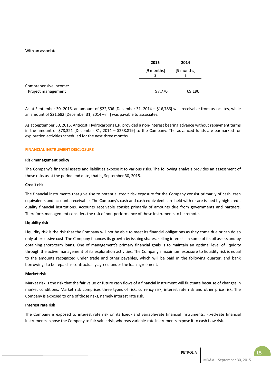With an associate:

|                                             | 2015       | 2014       |
|---------------------------------------------|------------|------------|
|                                             | [9 months] | [9 months] |
| Comprehensive income:<br>Project management | 97,770     | 69,190     |

As at September 30, 2015, an amount of \$22,606 [December 31, 2014 – \$16,786] was receivable from associates, while an amount of \$21,682 [December 31, 2014 – nil] was payable to associates.

As at September 30, 2015, Anticosti Hydrocarbons L.P. provided a non-interest bearing advance without repayment terms in the amount of \$78,321 [December 31, 2014 – \$258,819] to the Company. The advanced funds are earmarked for exploration activities scheduled for the next three months.

## **FINANCIAL INSTRUMENT DISCLOSURE**

#### **Risk management policy**

The Company's financial assets and liabilities expose it to various risks. The following analysis provides an assessment of those risks as at the period end date, that is, September 30, 2015.

#### **Credit risk**

The financial instruments that give rise to potential credit risk exposure for the Company consist primarily of cash, cash equivalents and accounts receivable. The Company's cash and cash equivalents are held with or are issued by high-credit quality financial institutions. Accounts receivable consist primarily of amounts due from governments and partners. Therefore, management considers the risk of non-performance of these instruments to be remote.

## **Liquidity risk**

Liquidity risk is the risk that the Company will not be able to meet its financial obligations as they come due or can do so only at excessive cost. The Company finances its growth by issuing shares, selling interests in some of its oil assets and by obtaining short-term loans. One of management's primary financial goals is to maintain an optimal level of liquidity through the active management of its exploration activities. The Company's maximum exposure to liquidity risk is equal to the amounts recognized under trade and other payables, which will be paid in the following quarter, and bank borrowings to be repaid as contractually agreed under the loan agreement.

#### **Market risk**

Market risk is the risk that the fair value or future cash flows of a financial instrument will fluctuate because of changes in market conditions. Market risk comprises three types of risk: currency risk, interest rate risk and other price risk. The Company is exposed to one of those risks, namely interest rate risk.

## **Interest rate risk**

The Company is exposed to interest rate risk on its fixed- and variable-rate financial instruments. Fixed-rate financial instruments expose the Company to fair value risk, whereas variable-rate instruments expose it to cash flow risk.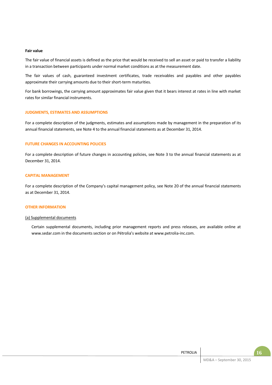#### **Fair value**

The fair value of financial assets is defined as the price that would be received to sell an asset or paid to transfer a liability in a transaction between participants under normal market conditions as at the measurement date.

The fair values of cash, guaranteed investment certificates, trade receivables and payables and other payables approximate their carrying amounts due to their short-term maturities.

For bank borrowings, the carrying amount approximates fair value given that it bears interest at rates in line with market rates for similar financial instruments.

## **JUDGMENTS, ESTIMATES AND ASSUMPTIONS**

For a complete description of the judgments, estimates and assumptions made by management in the preparation of its annual financial statements, see Note 4 to the annual financial statements as at December 31, 2014.

## **FUTURE CHANGES IN ACCOUNTING POLICIES**

For a complete description of future changes in accounting policies, see Note 3 to the annual financial statements as at December 31, 2014.

#### **CAPITAL MANAGEMENT**

For a complete description of the Company's capital management policy, see Note 20 of the annual financial statements as at December 31, 2014.

#### **OTHER INFORMATION**

### (a) Supplemental documents

Certain supplemental documents, including prior management reports and press releases, are available online at www.sedar.com in the documents section or on Pétrolia's website at www.petrolia-inc.com.

| PETROLIA |                           |  |
|----------|---------------------------|--|
|          | MD&A - September 30, 2015 |  |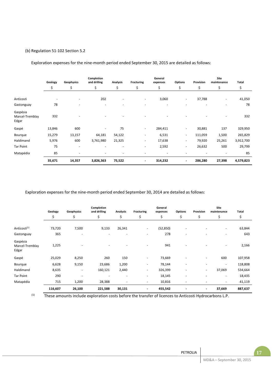# (b) Regulation 51-102 Section 5.2

Exploration expenses for the nine-month period ended September 30, 2015 are detailed as follows:

|                                      | Geology                  | Geophysics | Completion<br>and drilling | <b>Analysis</b>          | <b>Fracturing</b>        | General<br>expenses | <b>Options</b>           | Provision | Site<br>maintenance | Total     |
|--------------------------------------|--------------------------|------------|----------------------------|--------------------------|--------------------------|---------------------|--------------------------|-----------|---------------------|-----------|
|                                      | \$                       | \$         | \$                         | \$                       | \$                       | \$                  | \$                       | \$        | \$                  | \$        |
| Anticosti                            | $\overline{\phantom{a}}$ | ٠          | 202                        | ٠                        | $\overline{\phantom{a}}$ | 3,060               | $\overline{\phantom{a}}$ | 37,788    | ٠                   | 41,050    |
| Gastonguay                           | 78                       |            | ٠                          | $\overline{\phantom{a}}$ | ٠                        | ٠                   | ٠                        |           |                     | 78        |
| Gaspésia<br>Marcel-Tremblay<br>Edgar | 332                      |            | ٠                          |                          | $\overline{\phantom{0}}$ | ٠                   |                          |           | ٠                   | 332       |
| Gaspé                                | 13,846                   | 600        | ٠                          | 75                       | $\overline{\phantom{a}}$ | 284,411             | $\overline{\phantom{a}}$ | 30,881    | 137                 | 329,950   |
| Bourque                              | 15,279                   | 13,157     | 64,181                     | 54,122                   | $\overline{\phantom{a}}$ | 6,531               | $\sim$                   | 111,059   | 1,500               | 265,829   |
| Haldimand                            | 5,976                    | 600        | 3,761,980                  | 21,325                   | ٠                        | 17,638              | $\overline{\phantom{a}}$ | 79,920    | 25,261              | 3,912,700 |
| <b>Tar Point</b>                     | 75                       | ٠          |                            | ٠                        | ٠                        | 2,592               | $\overline{\phantom{a}}$ | 26,632    | 500                 | 29,799    |
| Matapédia                            | 85                       | ٠          | ٠                          | ٠                        | $\overline{\phantom{a}}$ | ٠                   | ٠                        |           |                     | 85        |
|                                      | 35,671                   | 14,357     | 3,826,363                  | 75,522                   | $\overline{\phantom{a}}$ | 314,232             | $\blacksquare$           | 286,280   | 27,398              | 4,579,823 |

Exploration expenses for the nine-month period ended September 30, 2014 are detailed as follows:

|                                      | Geology | Geophysics               | Completion<br>and drilling | Analysis                 | <b>Fracturing</b>        | General<br>expenses | <b>Options</b>           | Provision                | Site<br>maintenance      | Total   |
|--------------------------------------|---------|--------------------------|----------------------------|--------------------------|--------------------------|---------------------|--------------------------|--------------------------|--------------------------|---------|
|                                      | \$      | \$                       | \$                         | \$                       | \$                       | \$                  | \$                       | \$                       | \$                       | \$      |
| Anticosti <sup>(1)</sup>             | 73,720  | 7,500                    | 9,133                      | 26,341                   | $\sim$                   | (52, 850)           | $\overline{\phantom{a}}$ |                          | $\sim$                   | 63,844  |
| Gastonguay                           | 365     | ٠                        | $\overline{\phantom{0}}$   | $\overline{a}$           | $\overline{\phantom{a}}$ | 278                 | $\overline{\phantom{0}}$ |                          |                          | 643     |
| Gaspésia<br>Marcel-Tremblay<br>Edgar | 1,225   |                          |                            |                          | $\sim$                   | 941                 | ٠                        |                          | $\sim$                   | 2,166   |
| Gaspé                                | 25,029  | 8,250                    | 260                        | 150                      | $\sim$                   | 73,669              |                          | $\overline{\phantom{a}}$ | 600                      | 107,958 |
| Bourque                              | 6,628   | 9,150                    | 23,686                     | 1,200                    | $\overline{\phantom{a}}$ | 78,144              | $\overline{\phantom{a}}$ | $\overline{\phantom{0}}$ | $\overline{\phantom{a}}$ | 118,808 |
| Haldimand                            | 8,635   | $\overline{\phantom{a}}$ | 160,121                    | 2,440                    | $\overline{\phantom{a}}$ | 326,399             | $\overline{\phantom{a}}$ | $\overline{\phantom{a}}$ | 37,069                   | 534,664 |
| <b>Tar Point</b>                     | 290     | ٠                        | $\overline{\phantom{a}}$   | $\overline{\phantom{a}}$ | ٠                        | 18,145              | ٠                        | $\overline{a}$           | $\overline{\phantom{a}}$ | 18,435  |
| Matapédia                            | 715     | 1,200                    | 28,388                     | $\overline{\phantom{a}}$ | $\overline{\phantom{a}}$ | 10,816              | ٠                        |                          | $\overline{\phantom{a}}$ | 41,119  |
|                                      | 116,607 | 26,100                   | 221,588                    | 30,131                   | $\blacksquare$           | 455,542             | $\blacksquare$           | $\blacksquare$           | 37,669                   | 887,637 |

(1) These amounts include exploration costs before the transfer of licences to Anticosti Hydrocarbons L.P.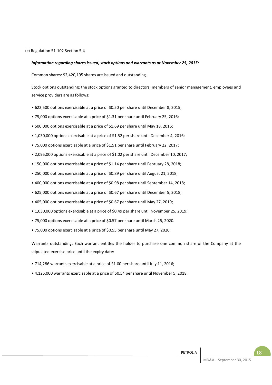(c) Regulation 51-102 Section 5.4

## *Information regarding shares issued, stock options and warrants as at November 25, 2015:*

Common shares: 92,420,195 shares are issued and outstanding.

Stock options outstanding: the stock options granted to directors, members of senior management, employees and service providers are as follows:

- 622,500 options exercisable at a price of \$0.50 per share until December 8, 2015;
- 75,000 options exercisable at a price of \$1.31 per share until February 25, 2016;
- 500,000 options exercisable at a price of \$1.69 per share until May 18, 2016;
- 1,030,000 options exercisable at a price of \$1.52 per share until December 4, 2016;
- 75,000 options exercisable at a price of \$1.51 per share until February 22, 2017;
- 2,095,000 options exercisable at a price of \$1.02 per share until December 10, 2017;
- 150,000 options exercisable at a price of \$1.14 per share until February 28, 2018;
- 250,000 options exercisable at a price of \$0.89 per share until August 21, 2018;
- 400,000 options exercisable at a price of \$0.98 per share until September 14, 2018;
- 625,000 options exercisable at a price of \$0.67 per share until December 5, 2018;
- 405,000 options exercisable at a price of \$0.67 per share until May 27, 2019;
- 1,030,000 options exercisable at a price of \$0.49 per share until November 25, 2019;
- 75,000 options exercisable at a price of \$0.57 per share until March 25, 2020.
- 75,000 options exercisable at a price of \$0.55 per share until May 27, 2020;

Warrants outstanding: Each warrant entitles the holder to purchase one common share of the Company at the stipulated exercise price until the expiry date:

- 714,286 warrants exercisable at a price of \$1.00 per share until July 11, 2016;
- 4,125,000 warrants exercisable at a price of \$0.54 per share until November 5, 2018.